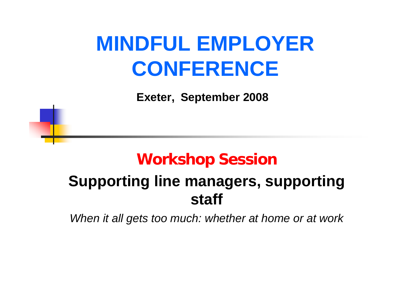**Exeter, September 2008**

## **Workshop Session**

## **Supporting line managers, supporting staff**

*When it all gets too much: whether at home or at work*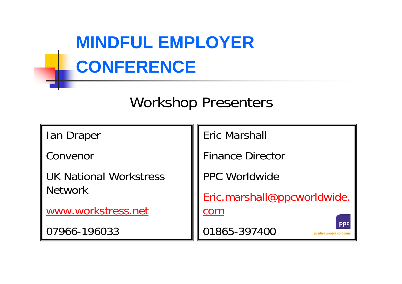## Workshop Presenters

Ian Draper

Convenor

UK National Workstress Network

[www.workstress.net](http://www.workstress.net/)

07966-196033

Eric Marshall

Finance Director

PPC Worldwide

[Eric.marshall@ppcworldwide.](mailto:Eric.marshall@ppcworldwide.com) 

[com](mailto:Eric.marshall@ppcworldwide.com)

01865-397400

positive people company

**PPC**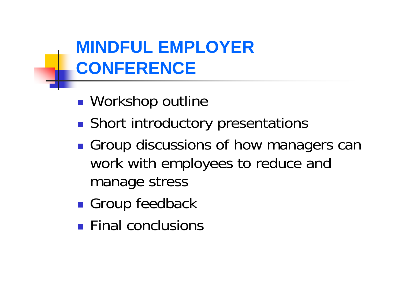- $\mathbb{R}^3$ ■ Workshop outline
- $\mathbb{R}^3$ **Short introductory presentations**
- $\mathbb{R}^3$ **Group discussions of how managers can** work with employees to reduce and manage stress
- $\mathbb{R}^3$ **Group feedback**
- **Final conclusions**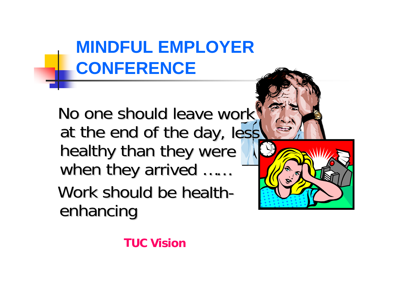No one should leave work" at the end of the day, less healthy than they were when they arrived …… Work should be healthenhancing



**TUC Vision**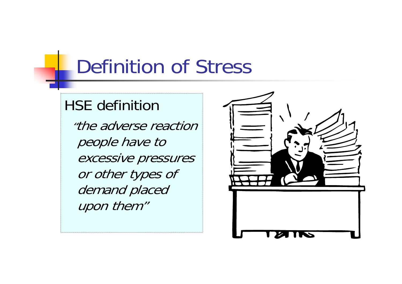# Definition of Stress

## HSE definition

"the adverse reaction people have to excessive pressures or other types of demand placed upon them"

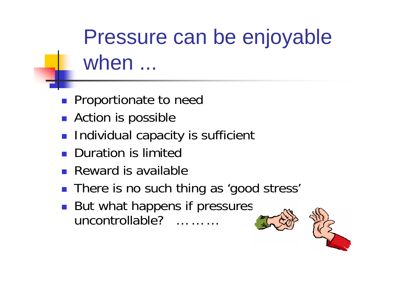Pressure can be enjoyable when ...

- **Proportionate to need**
- **Action is possible**
- **Individual capacity is sufficient**
- **Duration is limited**
- **Reward is available**
- There is no such thing as 'good stress'
- $\blacksquare$  But what happens if pressures uncontrollable? … … …



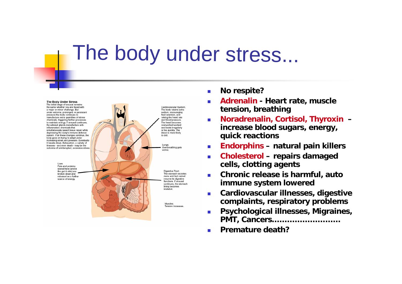# The body under stress...



 $\mathcal{L}_{\mathcal{A}}$ **No respite?**

- m. **Adrenalin - Heart rate, muscle tension, breathing**
- П **Noradrenalin, Cortisol, Thyroxin – increase blood sugars, energy, quick reactions**
- $\mathcal{L}_{\mathrm{max}}$ **Endorphins – natural pain killers**
- $\mathcal{L}_{\mathcal{A}}$  **Cholesterol – repairs damaged cells, clotting agents**
- П **Chronic release is harmful, auto immune system lowered**
- П **Cardiovascular illnesses, digestive complaints, respiratory problems**
- $\overline{\phantom{a}}$  **Psychological illnesses, Migraines, PMT, Cancers………………………**
- П **Premature death?**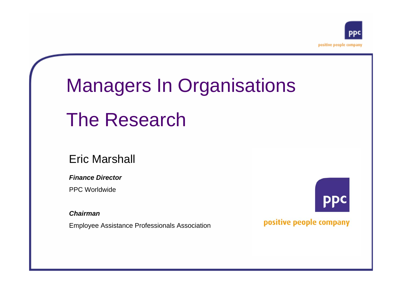

# Managers In Organisations

## The Research

#### Eric Marshall

*Finance Director*

PPC Worldwide

*Chairman*

Employee Assistance Professionals Association

positive people company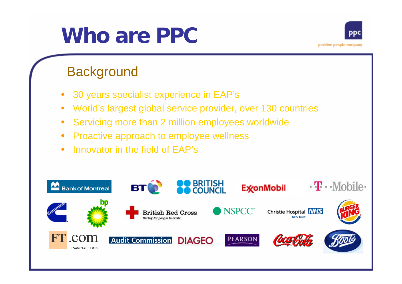### positive people company

# **Who are PPC**

### **Background**

- 30 years specialist experience in EAP's
- World's largest global service provider, over 130 countries
- Servicing more than 2 million employees worldwide
- Proactive approach to employee wellness
- Innovator in the field of EAP's

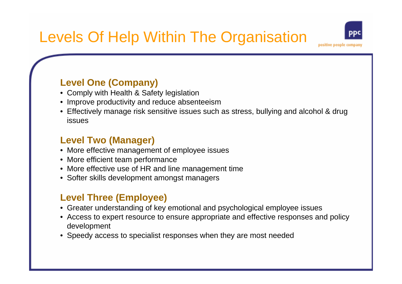#### **Level One (Company)**

- Comply with Health & Safety legislation
- Improve productivity and reduce absenteeism
- Effectively manage risk sensitive issues such as stress, bullying and alcohol & drug issues

#### **Level Two (Manager)**

- More effective management of employee issues
- More efficient team performance
- More effective use of HR and line management time
- Softer skills development amongst managers

#### **Level Three (Employee)**

- Greater understanding of key emotional and psychological employee issues
- Access to expert resource to ensure appropriate and effective responses and policy development
- Speedy access to specialist responses when they are most needed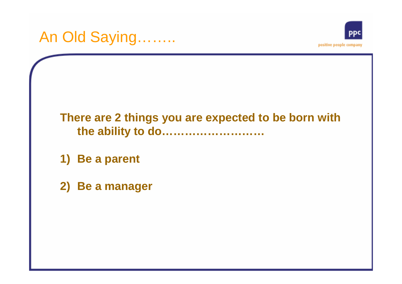### **There are 2 things you are expected to be born with the ability to do………………………**

- **1) Be a parent**
- **2) Be a manager**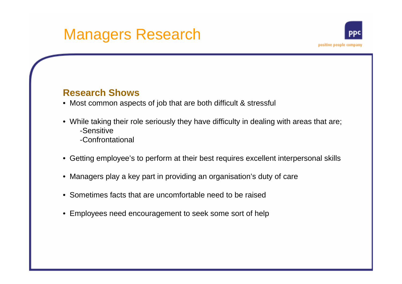## Managers Research

#### **Research Shows**

- Most common aspects of job that are both difficult & stressful
- While taking their role seriously they have difficulty in dealing with areas that are; -Sensitive
	- -Confrontational
- Getting employee's to perform at their best requires excellent interpersonal skills
- Managers play a key part in providing an organisation's duty of care
- Sometimes facts that are uncomfortable need to be raised
- Employees need encouragement to seek some sort of help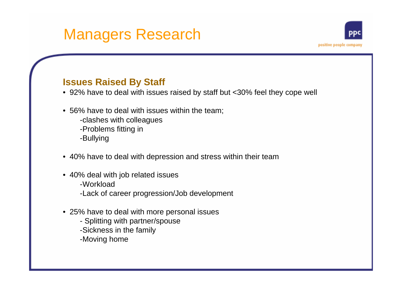#### **Issues Raised By Staff**

• 92% have to deal with issues raised by staff but <30% feel they cope well

positive people compan

- 56% have to deal with issues within the team;
	- -clashes with colleagues
	- -Problems fitting in
	- -Bullying
- 40% have to deal with depression and stress within their team
- 40% deal with job related issues -Workload
	- -Lack of career progression/Job development
- 25% have to deal with more personal issues
	- Splitting with partner/spouse
	- -Sickness in the family
	- -Moving home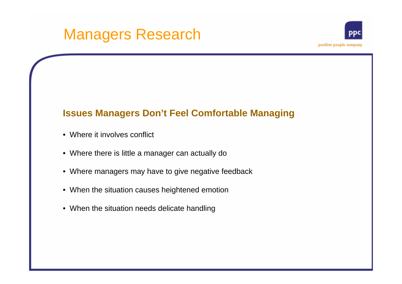#### **Issues Managers Don't Feel Comfortable Managing**

- Where it involves conflict
- Where there is little a manager can actually do
- Where managers may have to give negative feedback
- When the situation causes heightened emotion
- When the situation needs delicate handling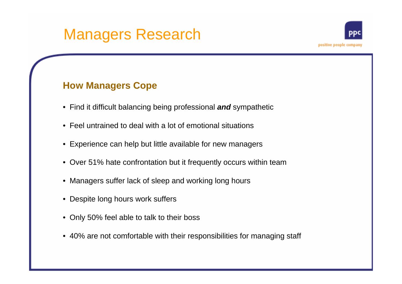#### **How Managers Cope**

- Find it difficult balancing being professional *and* sympathetic
- Feel untrained to deal with a lot of emotional situations
- Experience can help but little available for new managers
- Over 51% hate confrontation but it frequently occurs within team
- Managers suffer lack of sleep and working long hours
- Despite long hours work suffers
- Only 50% feel able to talk to their boss
- 40% are not comfortable with their responsibilities for managing staff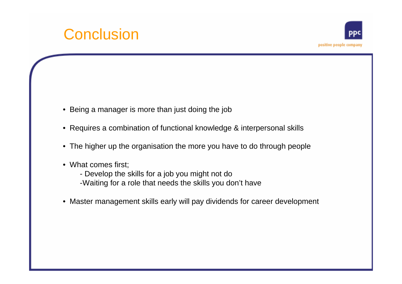## **Conclusion**

- Being a manager is more than just doing the job
- Requires a combination of functional knowledge & interpersonal skills
- The higher up the organisation the more you have to do through people
- What comes first;
	- Develop the skills for a job you might not do
	- -Waiting for a role that needs the skills you don't have
- Master management skills early will pay dividends for career development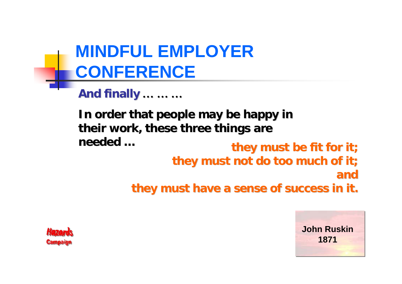**And finally And finally … … …**

they must be fit for it; **they must not do too much of it; they must not do too much of it; andthey must have a sense of success in it. they must have a sense of success in it.** In order that people may be happy in their work, these three things are **needed …**